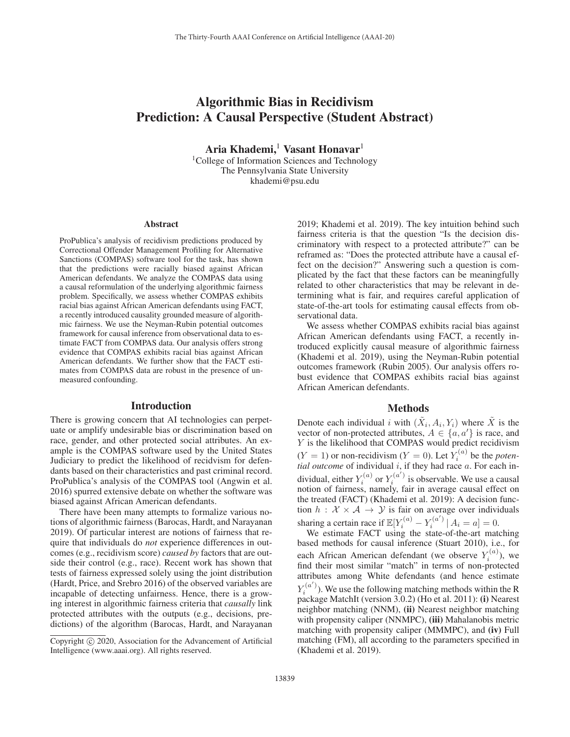# Algorithmic Bias in Recidivism Prediction: A Causal Perspective (Student Abstract)

Aria Khademi,<sup>1</sup> Vasant Honavar<sup>1</sup>

<sup>1</sup>College of Information Sciences and Technology The Pennsylvania State University khademi@psu.edu

#### **Abstract**

ProPublica's analysis of recidivism predictions produced by Correctional Offender Management Profiling for Alternative Sanctions (COMPAS) software tool for the task, has shown that the predictions were racially biased against African American defendants. We analyze the COMPAS data using a causal reformulation of the underlying algorithmic fairness problem. Specifically, we assess whether COMPAS exhibits racial bias against African American defendants using FACT, a recently introduced causality grounded measure of algorithmic fairness. We use the Neyman-Rubin potential outcomes framework for causal inference from observational data to estimate FACT from COMPAS data. Our analysis offers strong evidence that COMPAS exhibits racial bias against African American defendants. We further show that the FACT estimates from COMPAS data are robust in the presence of unmeasured confounding.

#### Introduction

There is growing concern that AI technologies can perpetuate or amplify undesirable bias or discrimination based on race, gender, and other protected social attributes. An example is the COMPAS software used by the United States Judiciary to predict the likelihood of recidvism for defendants based on their characteristics and past criminal record. ProPublica's analysis of the COMPAS tool (Angwin et al. 2016) spurred extensive debate on whether the software was biased against African American defendants.

There have been many attempts to formalize various notions of algorithmic fairness (Barocas, Hardt, and Narayanan 2019). Of particular interest are notions of fairness that require that individuals do *not* experience differences in outcomes (e.g., recidivism score) *caused by* factors that are outside their control (e.g., race). Recent work has shown that tests of fairness expressed solely using the joint distribution (Hardt, Price, and Srebro 2016) of the observed variables are incapable of detecting unfairness. Hence, there is a growing interest in algorithmic fairness criteria that *causally* link protected attributes with the outputs (e.g., decisions, predictions) of the algorithm (Barocas, Hardt, and Narayanan 2019; Khademi et al. 2019). The key intuition behind such fairness criteria is that the question "Is the decision discriminatory with respect to a protected attribute?" can be reframed as: "Does the protected attribute have a causal effect on the decision?" Answering such a question is complicated by the fact that these factors can be meaningfully related to other characteristics that may be relevant in determining what is fair, and requires careful application of state-of-the-art tools for estimating causal effects from observational data.

We assess whether COMPAS exhibits racial bias against African American defendants using FACT, a recently introduced explicitly causal measure of algorithmic fairness (Khademi et al. 2019), using the Neyman-Rubin potential outcomes framework (Rubin 2005). Our analysis offers robust evidence that COMPAS exhibits racial bias against African American defendants.

## Methods

Denote each individual i with  $(\tilde{X}_i, A_i, Y_i)$  where  $\tilde{X}$  is the vector of non-protected attributes,  $A \in \{a, a'\}$  is race, and Y is the likelihood that COMPAS would predict recidivism  $(Y = 1)$  or non-recidivism  $(Y = 0)$ . Let  $Y_i^{(a)}$  be the *potential outcome* of individual i, if they had race a. For each individual, either  $Y_i^{(a)}$  or  $Y_i^{(a')}$  is observable. We use a causal notion of fairness, namely, fair in average causal effect on the treated (FACT) (Khademi et al. 2019): A decision function  $h : \mathcal{X} \times \mathcal{A} \rightarrow \mathcal{Y}$  is fair on average over individuals sharing a certain race if  $\mathbb{E}[Y_i^{(a)} - Y_i^{(a')} | A_i = a] = 0$ .

We estimate FACT using the state-of-the-art matching based methods for causal inference (Stuart 2010), i.e., for each African American defendant (we observe  $Y_i^{(a)}$ ), we find their most similar "match" in terms of non-protected attributes among White defendants (and hence estimate  $Y_i^{(a')}$ ). We use the following matching methods within the R package MatchIt (version 3.0.2) (Ho et al. 2011): (i) Nearest neighbor matching (NNM), (ii) Nearest neighbor matching with propensity caliper (NNMPC), (iii) Mahalanobis metric matching with propensity caliper (MMMPC), and (iv) Full matching (FM), all according to the parameters specified in (Khademi et al. 2019).

Copyright  $\odot$  2020, Association for the Advancement of Artificial Intelligence (www.aaai.org). All rights reserved.